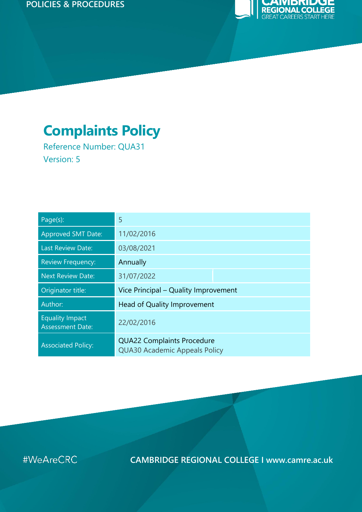#### **POLICIES & PROCEDURES**



# **Complaints Policy**

Reference Number: QUA31 Version: 5

| Page(s):                                          | 5                                                                         |  |  |
|---------------------------------------------------|---------------------------------------------------------------------------|--|--|
| <b>Approved SMT Date:</b>                         | 11/02/2016                                                                |  |  |
| <b>Last Review Date:</b>                          | 03/08/2021                                                                |  |  |
| <b>Review Frequency:</b>                          | Annually                                                                  |  |  |
| <b>Next Review Date:</b>                          | 31/07/2022                                                                |  |  |
| Originator title:                                 | Vice Principal – Quality Improvement                                      |  |  |
| Author:                                           | Head of Quality Improvement                                               |  |  |
| <b>Equality Impact</b><br><b>Assessment Date:</b> | 22/02/2016                                                                |  |  |
| <b>Associated Policy:</b>                         | <b>QUA22 Complaints Procedure</b><br><b>QUA30 Academic Appeals Policy</b> |  |  |

#WeAreCRC

**CAMBRIDGE REGIONAL COLLEGE I www.camre.ac.uk**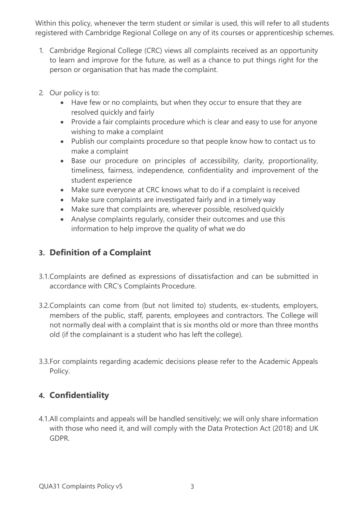Within this policy, whenever the term student or similar is used, this will refer to all students registered with Cambridge Regional College on any of its courses or apprenticeship schemes.

- 1. Cambridge Regional College (CRC) views all complaints received as an opportunity to learn and improve for the future, as well as a chance to put things right for the person or organisation that has made the complaint.
- 2. Our policy is to:
	- Have few or no complaints, but when they occur to ensure that they are resolved quickly and fairly
	- Provide a fair complaints procedure which is clear and easy to use for anyone wishing to make a complaint
	- Publish our complaints procedure so that people know how to contact us to make a complaint
	- Base our procedure on principles of accessibility, clarity, proportionality, timeliness, fairness, independence, confidentiality and improvement of the student experience
	- Make sure everyone at CRC knows what to do if a complaint is received
	- Make sure complaints are investigated fairly and in a timely way
	- Make sure that complaints are, wherever possible, resolved quickly
	- Analyse complaints regularly, consider their outcomes and use this information to help improve the quality of what we do

## **3. Definition of a Complaint**

- 3.1.Complaints are defined as expressions of dissatisfaction and can be submitted in accordance with CRC's Complaints Procedure.
- 3.2.Complaints can come from (but not limited to) students, ex-students, employers, members of the public, staff, parents, employees and contractors. The College will not normally deal with a complaint that is six months old or more than three months old (if the complainant is a student who has left the college).
- 3.3.For complaints regarding academic decisions please refer to the Academic Appeals Policy.

## **4. Confidentiality**

4.1.All complaints and appeals will be handled sensitively; we will only share information with those who need it, and will comply with the Data Protection Act (2018) and UK GDPR.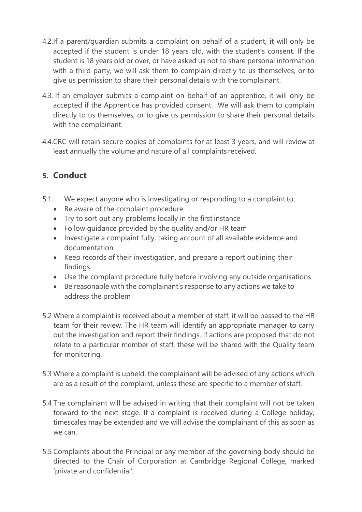- 4.2.If a parent/guardian submits a complaint on behalf of a student, it will only be accepted if the student is under 18 years old, with the student's consent. If the student is 18 years old or over, or have asked us not to share personal information with a third party, we will ask them to complain directly to us themselves, or to give us permission to share their personal details with the complainant.
- 4.3. If an employer submits a complaint on behalf of an apprentice, it will only be accepted if the Apprentice has provided consent. We will ask them to complain directly to us themselves, or to give us permission to share their personal details with the complainant.
- 4.4.CRC will retain secure copies of complaints for at least 3 years, and will review at least annually the volume and nature of all complaints received.

## **5. Conduct**

- 5.1. We expect anyone who is investigating or responding to a complaint to:
	- Be aware of the complaint procedure
	- Try to sort out any problems locally in the first instance
	- Follow guidance provided by the quality and/or HR team
	- Investigate a complaint fully, taking account of all available evidence and documentation
	- Keep records of their investigation, and prepare a report outlining their findings
	- Use the complaint procedure fully before involving any outside organisations
	- Be reasonable with the complainant's response to any actions we take to address the problem
- 5.2 Where a complaint is received about a member of staff, it will be passed to the HR team for their review. The HR team will identify an appropriate manager to carry out the investigation and report their findings. If actions are proposed that do not relate to a particular member of staff, these will be shared with the Quality team for monitoring.
- 5.3 Where a complaint is upheld, the complainant will be advised of any actions which are as a result of the complaint, unless these are specific to a member of staff.
- 5.4 The complainant will be advised in writing that their complaint will not be taken forward to the next stage. If a complaint is received during a College holiday, timescales may be extended and we will advise the complainant of this as soon as we can.
- 5.5 Complaints about the Principal or any member of the governing body should be directed to the Chair of Corporation at Cambridge Regional College, marked 'private and confidential'.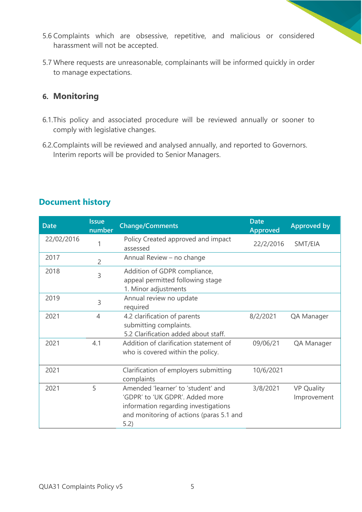- 5.6 Complaints which are obsessive, repetitive, and malicious or considered harassment will not be accepted.
- 5.7 Where requests are unreasonable, complainants will be informed quickly in order to manage expectations.

#### **6. Monitoring**

- 6.1.This policy and associated procedure will be reviewed annually or sooner to comply with legislative changes.
- 6.2.Complaints will be reviewed and analysed annually, and reported to Governors. Interim reports will be provided to Senior Managers.

| <b>Date</b> | <b>Issue</b><br>number | <b>Change/Comments</b>                                                                                                                                            | <b>Date</b><br><b>Approved</b> | <b>Approved by</b>               |
|-------------|------------------------|-------------------------------------------------------------------------------------------------------------------------------------------------------------------|--------------------------------|----------------------------------|
| 22/02/2016  |                        | Policy Created approved and impact<br>assessed                                                                                                                    | 22/2/2016                      | SMT/EIA                          |
| 2017        | $\overline{2}$         | Annual Review - no change                                                                                                                                         |                                |                                  |
| 2018        | 3                      | Addition of GDPR compliance,<br>appeal permitted following stage<br>1. Minor adjustments                                                                          |                                |                                  |
| 2019        | 3                      | Annual review no update<br>required                                                                                                                               |                                |                                  |
| 2021        | $\overline{4}$         | 4.2 clarification of parents<br>submitting complaints.<br>5.2 Clarification added about staff.                                                                    | 8/2/2021                       | QA Manager                       |
| 2021        | 4.1                    | Addition of clarification statement of<br>who is covered within the policy.                                                                                       | 09/06/21                       | QA Manager                       |
| 2021        |                        | Clarification of employers submitting<br>complaints                                                                                                               | 10/6/2021                      |                                  |
| 2021        | 5                      | Amended 'learner' to 'student' and<br>'GDPR' to 'UK GDPR'. Added more<br>information regarding investigations<br>and monitoring of actions (paras 5.1 and<br>5.2) | 3/8/2021                       | <b>VP Quality</b><br>Improvement |

## **Document history**